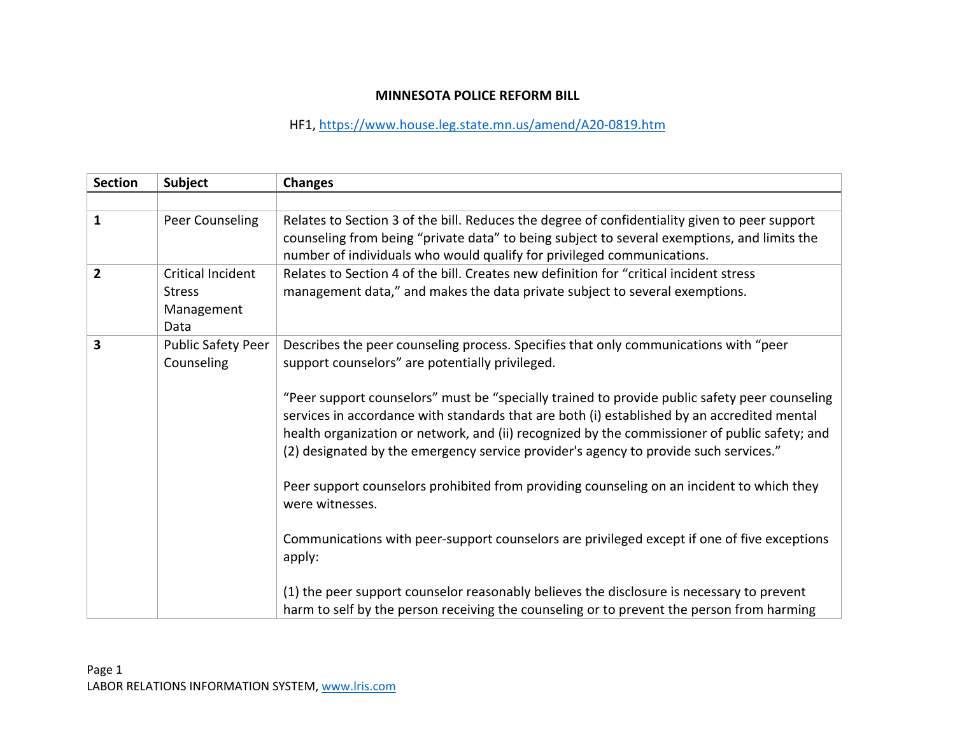## **MINNESOTA POLICE REFORM BILL**

HF1, https://www.house.leg.state.mn.us/amend/A20‐0819.htm

| <b>Section</b> | <b>Subject</b>                                           | <b>Changes</b>                                                                                                                                                                                                                                                                                                                                                                                                                                                                                                                                                                                                                                                                                                                                            |
|----------------|----------------------------------------------------------|-----------------------------------------------------------------------------------------------------------------------------------------------------------------------------------------------------------------------------------------------------------------------------------------------------------------------------------------------------------------------------------------------------------------------------------------------------------------------------------------------------------------------------------------------------------------------------------------------------------------------------------------------------------------------------------------------------------------------------------------------------------|
|                |                                                          |                                                                                                                                                                                                                                                                                                                                                                                                                                                                                                                                                                                                                                                                                                                                                           |
| $\mathbf{1}$   | Peer Counseling                                          | Relates to Section 3 of the bill. Reduces the degree of confidentiality given to peer support<br>counseling from being "private data" to being subject to several exemptions, and limits the<br>number of individuals who would qualify for privileged communications.                                                                                                                                                                                                                                                                                                                                                                                                                                                                                    |
| $\overline{2}$ | Critical Incident<br><b>Stress</b><br>Management<br>Data | Relates to Section 4 of the bill. Creates new definition for "critical incident stress<br>management data," and makes the data private subject to several exemptions.                                                                                                                                                                                                                                                                                                                                                                                                                                                                                                                                                                                     |
| 3              | <b>Public Safety Peer</b><br>Counseling                  | Describes the peer counseling process. Specifies that only communications with "peer<br>support counselors" are potentially privileged.<br>"Peer support counselors" must be "specially trained to provide public safety peer counseling<br>services in accordance with standards that are both (i) established by an accredited mental<br>health organization or network, and (ii) recognized by the commissioner of public safety; and<br>(2) designated by the emergency service provider's agency to provide such services."<br>Peer support counselors prohibited from providing counseling on an incident to which they<br>were witnesses.<br>Communications with peer-support counselors are privileged except if one of five exceptions<br>apply: |
|                |                                                          | (1) the peer support counselor reasonably believes the disclosure is necessary to prevent<br>harm to self by the person receiving the counseling or to prevent the person from harming                                                                                                                                                                                                                                                                                                                                                                                                                                                                                                                                                                    |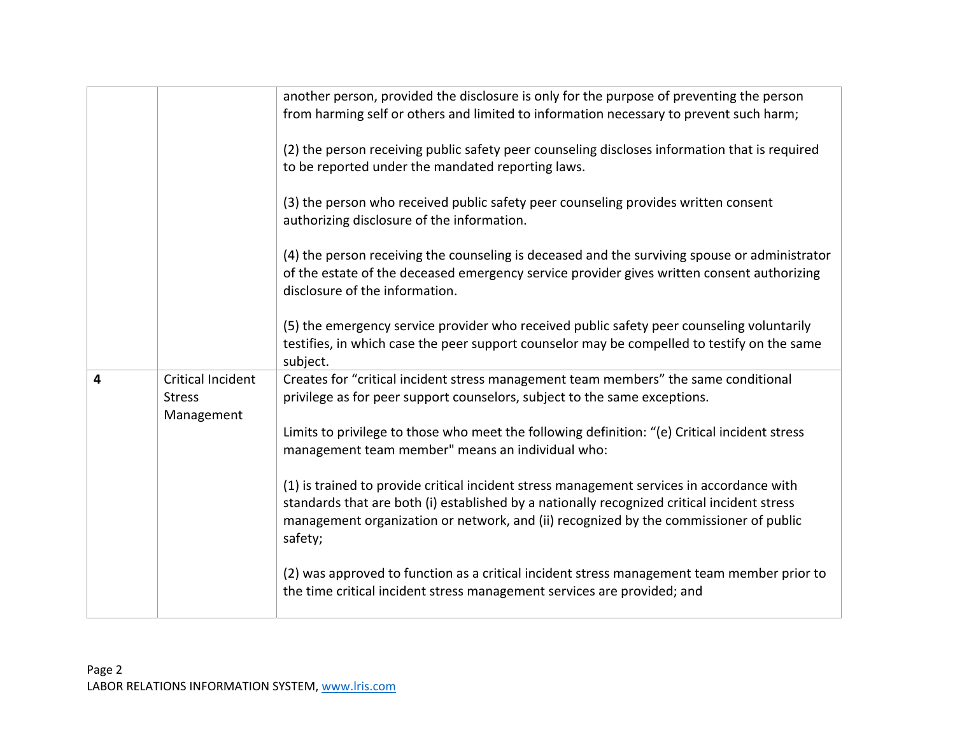|   |                                    | another person, provided the disclosure is only for the purpose of preventing the person<br>from harming self or others and limited to information necessary to prevent such harm;                                                                                                           |
|---|------------------------------------|----------------------------------------------------------------------------------------------------------------------------------------------------------------------------------------------------------------------------------------------------------------------------------------------|
|   |                                    | (2) the person receiving public safety peer counseling discloses information that is required<br>to be reported under the mandated reporting laws.                                                                                                                                           |
|   |                                    | (3) the person who received public safety peer counseling provides written consent<br>authorizing disclosure of the information.                                                                                                                                                             |
|   |                                    | (4) the person receiving the counseling is deceased and the surviving spouse or administrator<br>of the estate of the deceased emergency service provider gives written consent authorizing<br>disclosure of the information.                                                                |
|   |                                    | (5) the emergency service provider who received public safety peer counseling voluntarily<br>testifies, in which case the peer support counselor may be compelled to testify on the same<br>subject.                                                                                         |
| 4 | Critical Incident<br><b>Stress</b> | Creates for "critical incident stress management team members" the same conditional<br>privilege as for peer support counselors, subject to the same exceptions.                                                                                                                             |
|   | Management                         | Limits to privilege to those who meet the following definition: "(e) Critical incident stress<br>management team member" means an individual who:                                                                                                                                            |
|   |                                    | (1) is trained to provide critical incident stress management services in accordance with<br>standards that are both (i) established by a nationally recognized critical incident stress<br>management organization or network, and (ii) recognized by the commissioner of public<br>safety; |
|   |                                    | (2) was approved to function as a critical incident stress management team member prior to<br>the time critical incident stress management services are provided; and                                                                                                                        |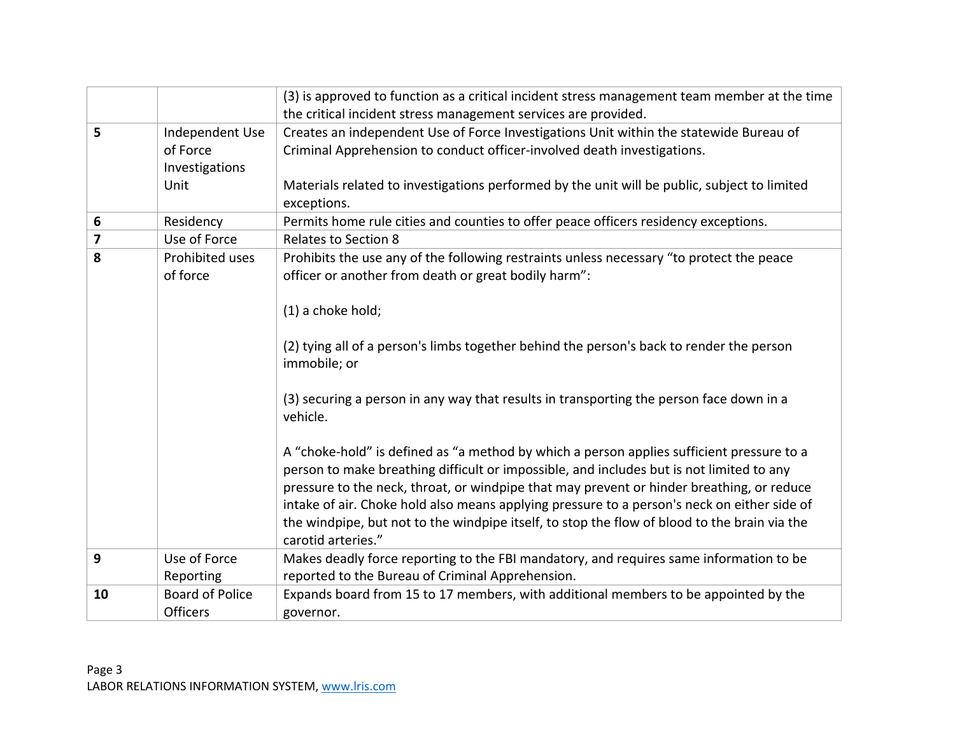|    |                                                       | (3) is approved to function as a critical incident stress management team member at the time<br>the critical incident stress management services are provided.                                                                                                                                                                                                                                                                                                                                          |
|----|-------------------------------------------------------|---------------------------------------------------------------------------------------------------------------------------------------------------------------------------------------------------------------------------------------------------------------------------------------------------------------------------------------------------------------------------------------------------------------------------------------------------------------------------------------------------------|
| 5  | Independent Use<br>of Force<br>Investigations<br>Unit | Creates an independent Use of Force Investigations Unit within the statewide Bureau of<br>Criminal Apprehension to conduct officer-involved death investigations.<br>Materials related to investigations performed by the unit will be public, subject to limited<br>exceptions.                                                                                                                                                                                                                        |
| 6  | Residency                                             | Permits home rule cities and counties to offer peace officers residency exceptions.                                                                                                                                                                                                                                                                                                                                                                                                                     |
| 7  | Use of Force                                          | <b>Relates to Section 8</b>                                                                                                                                                                                                                                                                                                                                                                                                                                                                             |
| 8  | Prohibited uses<br>of force                           | Prohibits the use any of the following restraints unless necessary "to protect the peace<br>officer or another from death or great bodily harm":<br>(1) a choke hold;                                                                                                                                                                                                                                                                                                                                   |
|    |                                                       | (2) tying all of a person's limbs together behind the person's back to render the person<br>immobile; or                                                                                                                                                                                                                                                                                                                                                                                                |
|    |                                                       | (3) securing a person in any way that results in transporting the person face down in a<br>vehicle.                                                                                                                                                                                                                                                                                                                                                                                                     |
|    |                                                       | A "choke-hold" is defined as "a method by which a person applies sufficient pressure to a<br>person to make breathing difficult or impossible, and includes but is not limited to any<br>pressure to the neck, throat, or windpipe that may prevent or hinder breathing, or reduce<br>intake of air. Choke hold also means applying pressure to a person's neck on either side of<br>the windpipe, but not to the windpipe itself, to stop the flow of blood to the brain via the<br>carotid arteries." |
| 9  | Use of Force<br>Reporting                             | Makes deadly force reporting to the FBI mandatory, and requires same information to be<br>reported to the Bureau of Criminal Apprehension.                                                                                                                                                                                                                                                                                                                                                              |
| 10 | <b>Board of Police</b><br>Officers                    | Expands board from 15 to 17 members, with additional members to be appointed by the<br>governor.                                                                                                                                                                                                                                                                                                                                                                                                        |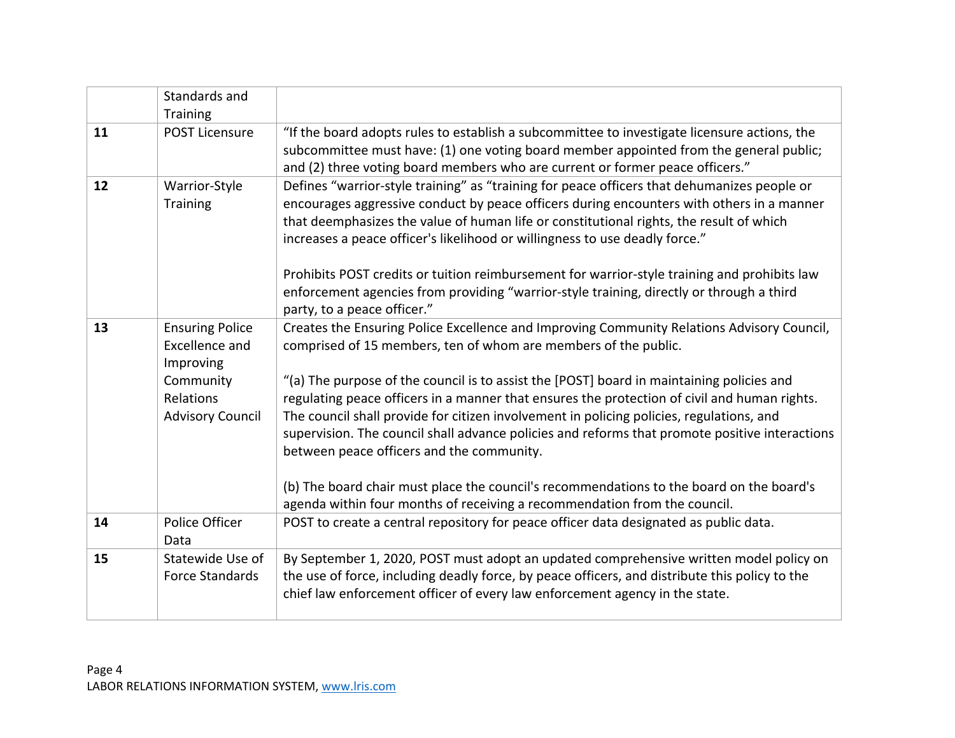|    | Standards and<br>Training                                                 |                                                                                                                                                                                                                                                                                                                                                                    |
|----|---------------------------------------------------------------------------|--------------------------------------------------------------------------------------------------------------------------------------------------------------------------------------------------------------------------------------------------------------------------------------------------------------------------------------------------------------------|
| 11 | <b>POST Licensure</b>                                                     | "If the board adopts rules to establish a subcommittee to investigate licensure actions, the<br>subcommittee must have: (1) one voting board member appointed from the general public;<br>and (2) three voting board members who are current or former peace officers."                                                                                            |
| 12 | Warrior-Style<br>Training                                                 | Defines "warrior-style training" as "training for peace officers that dehumanizes people or<br>encourages aggressive conduct by peace officers during encounters with others in a manner<br>that deemphasizes the value of human life or constitutional rights, the result of which<br>increases a peace officer's likelihood or willingness to use deadly force." |
|    |                                                                           | Prohibits POST credits or tuition reimbursement for warrior-style training and prohibits law<br>enforcement agencies from providing "warrior-style training, directly or through a third<br>party, to a peace officer."                                                                                                                                            |
| 13 | <b>Ensuring Police</b><br><b>Excellence and</b><br>Improving<br>Community | Creates the Ensuring Police Excellence and Improving Community Relations Advisory Council,<br>comprised of 15 members, ten of whom are members of the public.<br>"(a) The purpose of the council is to assist the [POST] board in maintaining policies and                                                                                                         |
|    | Relations<br><b>Advisory Council</b>                                      | regulating peace officers in a manner that ensures the protection of civil and human rights.<br>The council shall provide for citizen involvement in policing policies, regulations, and<br>supervision. The council shall advance policies and reforms that promote positive interactions<br>between peace officers and the community.                            |
|    |                                                                           | (b) The board chair must place the council's recommendations to the board on the board's<br>agenda within four months of receiving a recommendation from the council.                                                                                                                                                                                              |
| 14 | Police Officer<br>Data                                                    | POST to create a central repository for peace officer data designated as public data.                                                                                                                                                                                                                                                                              |
| 15 | Statewide Use of<br><b>Force Standards</b>                                | By September 1, 2020, POST must adopt an updated comprehensive written model policy on<br>the use of force, including deadly force, by peace officers, and distribute this policy to the<br>chief law enforcement officer of every law enforcement agency in the state.                                                                                            |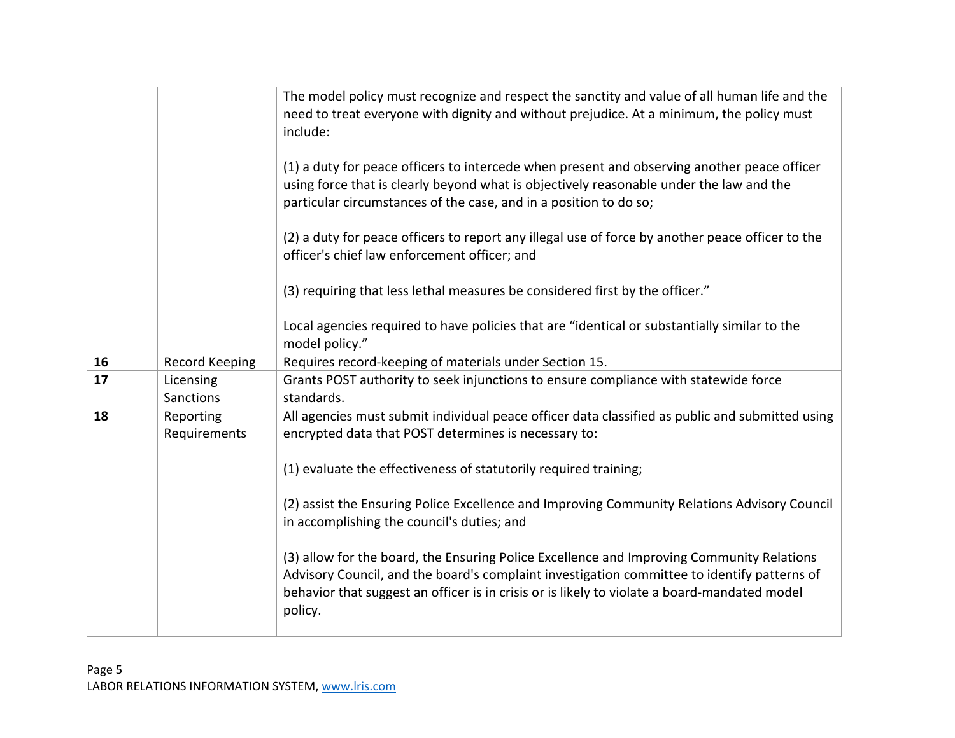|    |                           | The model policy must recognize and respect the sanctity and value of all human life and the<br>need to treat everyone with dignity and without prejudice. At a minimum, the policy must<br>include:<br>(1) a duty for peace officers to intercede when present and observing another peace officer<br>using force that is clearly beyond what is objectively reasonable under the law and the<br>particular circumstances of the case, and in a position to do so;<br>(2) a duty for peace officers to report any illegal use of force by another peace officer to the<br>officer's chief law enforcement officer; and |
|----|---------------------------|-------------------------------------------------------------------------------------------------------------------------------------------------------------------------------------------------------------------------------------------------------------------------------------------------------------------------------------------------------------------------------------------------------------------------------------------------------------------------------------------------------------------------------------------------------------------------------------------------------------------------|
|    |                           | (3) requiring that less lethal measures be considered first by the officer."                                                                                                                                                                                                                                                                                                                                                                                                                                                                                                                                            |
|    |                           | Local agencies required to have policies that are "identical or substantially similar to the<br>model policy."                                                                                                                                                                                                                                                                                                                                                                                                                                                                                                          |
| 16 | <b>Record Keeping</b>     | Requires record-keeping of materials under Section 15.                                                                                                                                                                                                                                                                                                                                                                                                                                                                                                                                                                  |
| 17 | Licensing                 | Grants POST authority to seek injunctions to ensure compliance with statewide force                                                                                                                                                                                                                                                                                                                                                                                                                                                                                                                                     |
|    | Sanctions                 | standards.                                                                                                                                                                                                                                                                                                                                                                                                                                                                                                                                                                                                              |
| 18 | Reporting<br>Requirements | All agencies must submit individual peace officer data classified as public and submitted using<br>encrypted data that POST determines is necessary to:                                                                                                                                                                                                                                                                                                                                                                                                                                                                 |
|    |                           | (1) evaluate the effectiveness of statutorily required training;                                                                                                                                                                                                                                                                                                                                                                                                                                                                                                                                                        |
|    |                           | (2) assist the Ensuring Police Excellence and Improving Community Relations Advisory Council<br>in accomplishing the council's duties; and                                                                                                                                                                                                                                                                                                                                                                                                                                                                              |
|    |                           | (3) allow for the board, the Ensuring Police Excellence and Improving Community Relations<br>Advisory Council, and the board's complaint investigation committee to identify patterns of<br>behavior that suggest an officer is in crisis or is likely to violate a board-mandated model<br>policy.                                                                                                                                                                                                                                                                                                                     |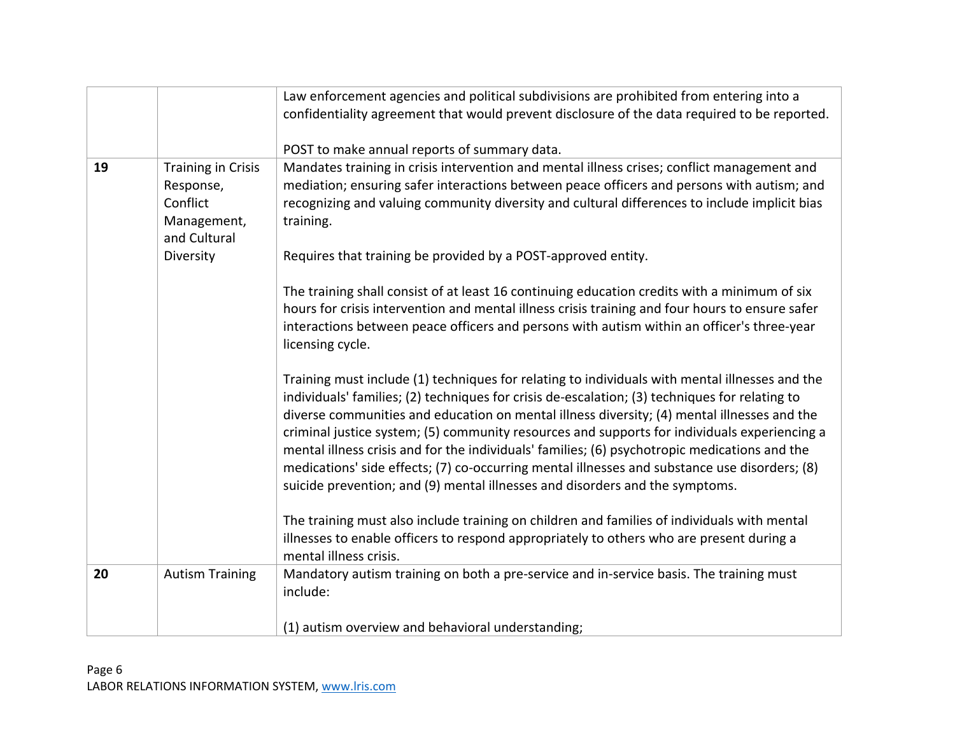|    |                                                                                                | Law enforcement agencies and political subdivisions are prohibited from entering into a<br>confidentiality agreement that would prevent disclosure of the data required to be reported.<br>POST to make annual reports of summary data.                                                                                                                                                                                                                                                                                                                                                                                                                                           |
|----|------------------------------------------------------------------------------------------------|-----------------------------------------------------------------------------------------------------------------------------------------------------------------------------------------------------------------------------------------------------------------------------------------------------------------------------------------------------------------------------------------------------------------------------------------------------------------------------------------------------------------------------------------------------------------------------------------------------------------------------------------------------------------------------------|
| 19 | <b>Training in Crisis</b><br>Response,<br>Conflict<br>Management,<br>and Cultural<br>Diversity | Mandates training in crisis intervention and mental illness crises; conflict management and<br>mediation; ensuring safer interactions between peace officers and persons with autism; and<br>recognizing and valuing community diversity and cultural differences to include implicit bias<br>training.<br>Requires that training be provided by a POST-approved entity.                                                                                                                                                                                                                                                                                                          |
|    |                                                                                                | The training shall consist of at least 16 continuing education credits with a minimum of six<br>hours for crisis intervention and mental illness crisis training and four hours to ensure safer<br>interactions between peace officers and persons with autism within an officer's three-year<br>licensing cycle.                                                                                                                                                                                                                                                                                                                                                                 |
|    |                                                                                                | Training must include (1) techniques for relating to individuals with mental illnesses and the<br>individuals' families; (2) techniques for crisis de-escalation; (3) techniques for relating to<br>diverse communities and education on mental illness diversity; (4) mental illnesses and the<br>criminal justice system; (5) community resources and supports for individuals experiencing a<br>mental illness crisis and for the individuals' families; (6) psychotropic medications and the<br>medications' side effects; (7) co-occurring mental illnesses and substance use disorders; (8)<br>suicide prevention; and (9) mental illnesses and disorders and the symptoms. |
|    |                                                                                                | The training must also include training on children and families of individuals with mental<br>illnesses to enable officers to respond appropriately to others who are present during a<br>mental illness crisis.                                                                                                                                                                                                                                                                                                                                                                                                                                                                 |
| 20 | <b>Autism Training</b>                                                                         | Mandatory autism training on both a pre-service and in-service basis. The training must<br>include:                                                                                                                                                                                                                                                                                                                                                                                                                                                                                                                                                                               |
|    |                                                                                                | (1) autism overview and behavioral understanding;                                                                                                                                                                                                                                                                                                                                                                                                                                                                                                                                                                                                                                 |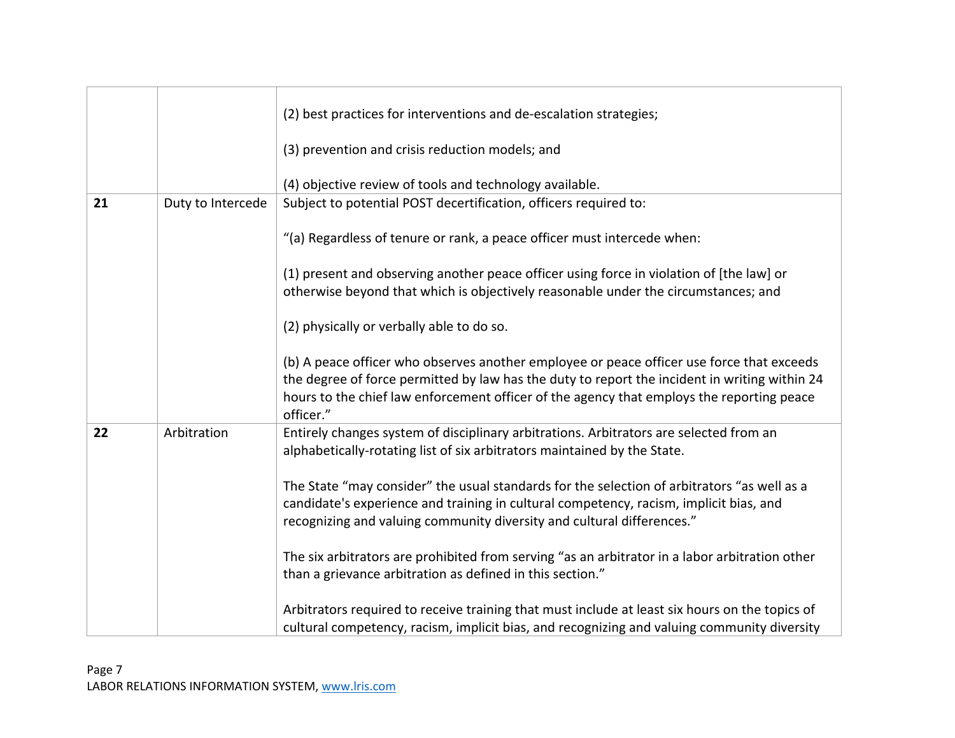|    |                   | (2) best practices for interventions and de-escalation strategies;                                                                                                                                                                                                                                   |
|----|-------------------|------------------------------------------------------------------------------------------------------------------------------------------------------------------------------------------------------------------------------------------------------------------------------------------------------|
|    |                   | (3) prevention and crisis reduction models; and                                                                                                                                                                                                                                                      |
|    |                   | (4) objective review of tools and technology available.                                                                                                                                                                                                                                              |
| 21 | Duty to Intercede | Subject to potential POST decertification, officers required to:                                                                                                                                                                                                                                     |
|    |                   | "(a) Regardless of tenure or rank, a peace officer must intercede when:                                                                                                                                                                                                                              |
|    |                   | (1) present and observing another peace officer using force in violation of [the law] or<br>otherwise beyond that which is objectively reasonable under the circumstances; and                                                                                                                       |
|    |                   | (2) physically or verbally able to do so.                                                                                                                                                                                                                                                            |
|    |                   | (b) A peace officer who observes another employee or peace officer use force that exceeds<br>the degree of force permitted by law has the duty to report the incident in writing within 24<br>hours to the chief law enforcement officer of the agency that employs the reporting peace<br>officer." |
| 22 | Arbitration       | Entirely changes system of disciplinary arbitrations. Arbitrators are selected from an<br>alphabetically-rotating list of six arbitrators maintained by the State.                                                                                                                                   |
|    |                   | The State "may consider" the usual standards for the selection of arbitrators "as well as a<br>candidate's experience and training in cultural competency, racism, implicit bias, and<br>recognizing and valuing community diversity and cultural differences."                                      |
|    |                   | The six arbitrators are prohibited from serving "as an arbitrator in a labor arbitration other<br>than a grievance arbitration as defined in this section."                                                                                                                                          |
|    |                   | Arbitrators required to receive training that must include at least six hours on the topics of<br>cultural competency, racism, implicit bias, and recognizing and valuing community diversity                                                                                                        |